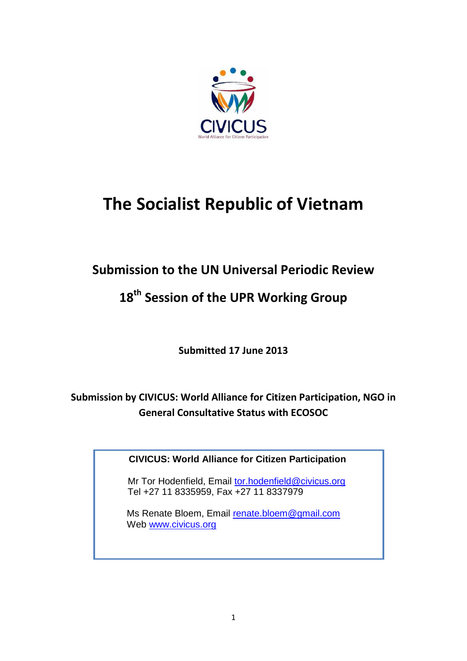

# **The Socialist Republic of Vietnam**

# **Submission to the UN Universal Periodic Review**

# **18 th Session of the UPR Working Group**

**Submitted 17 June 2013**

**Submission by CIVICUS: World Alliance for Citizen Participation, NGO in General Consultative Status with ECOSOC**

**CIVICUS: World Alliance for Citizen Participation**

Mr Tor Hodenfield, Email [tor.hodenfield@civicus.org](mailto:tor.hodenfield@civicus.org) Tel +27 11 8335959, Fax +27 11 8337979

Ms Renate Bloem, Email [renate.bloem@gmail.com](mailto:renate.bloem@gmail.com) Web [www.civicus.org](http://www.civicus.org/)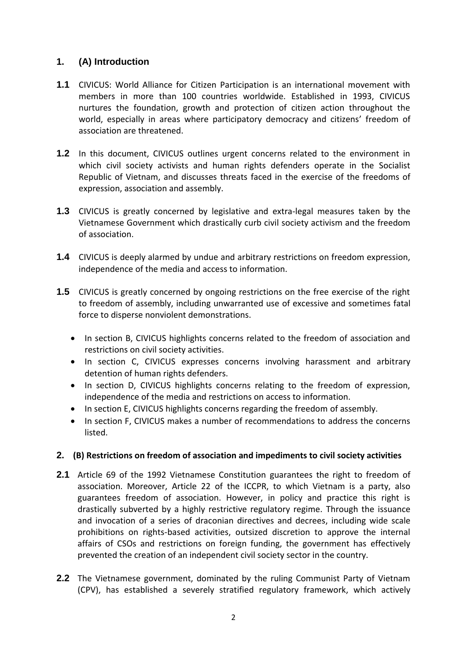# **1. (A) Introduction**

- **1.1** CIVICUS: World Alliance for Citizen Participation is an international movement with members in more than 100 countries worldwide. Established in 1993, CIVICUS nurtures the foundation, growth and protection of citizen action throughout the world, especially in areas where participatory democracy and citizens' freedom of association are threatened.
- **1.2** In this document, CIVICUS outlines urgent concerns related to the environment in which civil society activists and human rights defenders operate in the Socialist Republic of Vietnam, and discusses threats faced in the exercise of the freedoms of expression, association and assembly.
- **1.3** CIVICUS is greatly concerned by legislative and extra-legal measures taken by the Vietnamese Government which drastically curb civil society activism and the freedom of association.
- **1.4** CIVICUS is deeply alarmed by undue and arbitrary restrictions on freedom expression, independence of the media and access to information.
- **1.5** CIVICUS is greatly concerned by ongoing restrictions on the free exercise of the right to freedom of assembly, including unwarranted use of excessive and sometimes fatal force to disperse nonviolent demonstrations.
	- In section B, CIVICUS highlights concerns related to the freedom of association and restrictions on civil society activities.
	- In section C, CIVICUS expresses concerns involving harassment and arbitrary detention of human rights defenders.
	- In section D, CIVICUS highlights concerns relating to the freedom of expression, independence of the media and restrictions on access to information.
	- In section E, CIVICUS highlights concerns regarding the freedom of assembly.
	- In section F, CIVICUS makes a number of recommendations to address the concerns listed.

# **2. (B) Restrictions on freedom of association and impediments to civil society activities**

- **2.1** Article 69 of the 1992 Vietnamese Constitution guarantees the right to freedom of association. Moreover, Article 22 of the ICCPR, to which Vietnam is a party, also guarantees freedom of association. However, in policy and practice this right is drastically subverted by a highly restrictive regulatory regime. Through the issuance and invocation of a series of draconian directives and decrees, including wide scale prohibitions on rights-based activities, outsized discretion to approve the internal affairs of CSOs and restrictions on foreign funding, the government has effectively prevented the creation of an independent civil society sector in the country.
- **2.2** The Vietnamese government, dominated by the ruling Communist Party of Vietnam (CPV), has established a severely stratified regulatory framework, which actively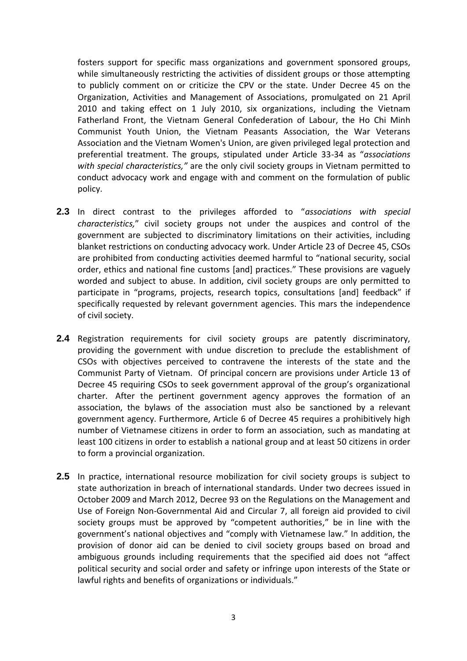fosters support for specific mass organizations and government sponsored groups, while simultaneously restricting the activities of dissident groups or those attempting to publicly comment on or criticize the CPV or the state. Under Decree 45 on the Organization, Activities and Management of Associations, promulgated on 21 April 2010 and taking effect on 1 July 2010, six organizations, including the Vietnam Fatherland Front, the Vietnam General Confederation of Labour, the Ho Chi Minh Communist Youth Union, the Vietnam Peasants Association, the War Veterans Association and the Vietnam Women's Union, are given privileged legal protection and preferential treatment. The groups, stipulated under Article 33-34 as "*associations with special characteristics,"* are the only civil society groups in Vietnam permitted to conduct advocacy work and engage with and comment on the formulation of public policy.

- **2.3** In direct contrast to the privileges afforded to "*associations with special characteristics,*" civil society groups not under the auspices and control of the government are subjected to discriminatory limitations on their activities, including blanket restrictions on conducting advocacy work. Under Article 23 of Decree 45, CSOs are prohibited from conducting activities deemed harmful to "national security, social order, ethics and national fine customs [and] practices." These provisions are vaguely worded and subject to abuse. In addition, civil society groups are only permitted to participate in "programs, projects, research topics, consultations [and] feedback" if specifically requested by relevant government agencies. This mars the independence of civil society.
- **2.4** Registration requirements for civil society groups are patently discriminatory, providing the government with undue discretion to preclude the establishment of CSOs with objectives perceived to contravene the interests of the state and the Communist Party of Vietnam. Of principal concern are provisions under Article 13 of Decree 45 requiring CSOs to seek government approval of the group's organizational charter. After the pertinent government agency approves the formation of an association, the bylaws of the association must also be sanctioned by a relevant government agency. Furthermore, Article 6 of Decree 45 requires a prohibitively high number of Vietnamese citizens in order to form an association, such as mandating at least 100 citizens in order to establish a national group and at least 50 citizens in order to form a provincial organization.
- **2.5** In practice, international resource mobilization for civil society groups is subject to state authorization in breach of international standards. Under two decrees issued in October 2009 and March 2012, Decree 93 on the Regulations on the Management and Use of Foreign Non-Governmental Aid and Circular 7, all foreign aid provided to civil society groups must be approved by "competent authorities," be in line with the government's national objectives and "comply with Vietnamese law." In addition, the provision of donor aid can be denied to civil society groups based on broad and ambiguous grounds including requirements that the specified aid does not "affect political security and social order and safety or infringe upon interests of the State or lawful rights and benefits of organizations or individuals."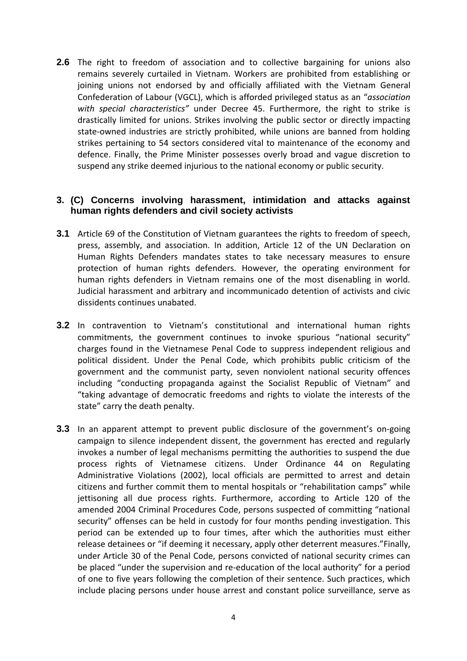**2.6** The right to freedom of association and to collective bargaining for unions also remains severely curtailed in Vietnam. Workers are prohibited from establishing or joining unions not endorsed by and officially affiliated with the Vietnam General Confederation of Labour (VGCL), which is afforded privileged status as an "*association with special characteristics"* under Decree 45. Furthermore, the right to strike is drastically limited for unions. Strikes involving the public sector or directly impacting state-owned industries are strictly prohibited, while unions are banned from holding strikes pertaining to 54 sectors considered vital to maintenance of the economy and defence. Finally, the Prime Minister possesses overly broad and vague discretion to suspend any strike deemed injurious to the national economy or public security.

# **3. (C) Concerns involving harassment, intimidation and attacks against human rights defenders and civil society activists**

- **3.1** Article 69 of the Constitution of Vietnam guarantees the rights to freedom of speech, press, assembly, and association. In addition, Article 12 of the UN Declaration on Human Rights Defenders mandates states to take necessary measures to ensure protection of human rights defenders. However, the operating environment for human rights defenders in Vietnam remains one of the most disenabling in world. Judicial harassment and arbitrary and incommunicado detention of activists and civic dissidents continues unabated.
- **3.2** In contravention to Vietnam's constitutional and international human rights commitments, the government continues to invoke spurious "national security" charges found in the Vietnamese Penal Code to suppress independent religious and political dissident. Under the Penal Code, which prohibits public criticism of the government and the communist party, seven nonviolent national security offences including "conducting propaganda against the Socialist Republic of Vietnam" and "taking advantage of democratic freedoms and rights to violate the interests of the state" carry the death penalty.
- **3.3** In an apparent attempt to prevent public disclosure of the government's on-going campaign to silence independent dissent, the government has erected and regularly invokes a number of legal mechanisms permitting the authorities to suspend the due process rights of Vietnamese citizens. Under Ordinance 44 on Regulating Administrative Violations (2002), local officials are permitted to arrest and detain citizens and further commit them to mental hospitals or "rehabilitation camps" while jettisoning all due process rights. Furthermore, according to Article 120 of the amended 2004 Criminal Procedures Code, persons suspected of committing "national security" offenses can be held in custody for four months pending investigation. This period can be extended up to four times, after which the authorities must either release detainees or "if deeming it necessary, apply other deterrent measures."Finally, under Article 30 of the Penal Code, persons convicted of national security crimes can be placed "under the supervision and re-education of the local authority" for a period of one to five years following the completion of their sentence. Such practices, which include placing persons under house arrest and constant police surveillance, serve as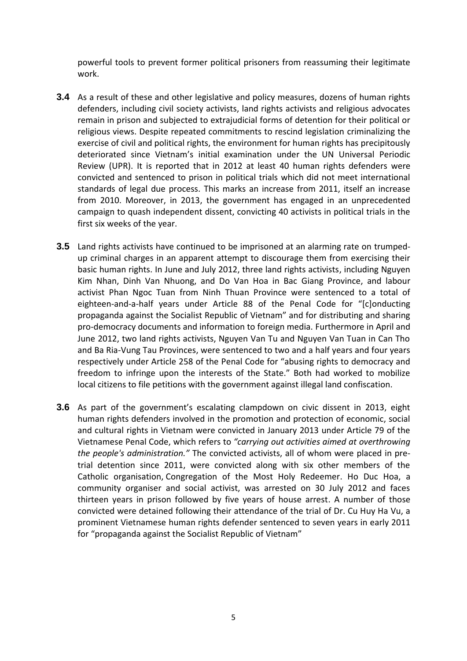powerful tools to prevent former political prisoners from reassuming their legitimate work.

- **3.4** As a result of these and other legislative and policy measures, dozens of human rights defenders, including civil society activists, land rights activists and religious advocates remain in prison and subjected to extrajudicial forms of detention for their political or religious views. Despite repeated commitments to rescind legislation criminalizing the exercise of civil and political rights, the environment for human rights has precipitously deteriorated since Vietnam's initial examination under the UN Universal Periodic Review (UPR). It is reported that in 2012 at least 40 human rights defenders were convicted and sentenced to prison in political trials which did not meet international standards of legal due process. This marks an increase from 2011, itself an increase from 2010. Moreover, in 2013, the government has engaged in an unprecedented campaign to quash independent dissent, convicting 40 activists in political trials in the first six weeks of the year.
- **3.5** Land rights activists have continued to be imprisoned at an alarming rate on trumpedup criminal charges in an apparent attempt to discourage them from exercising their basic human rights. In June and July 2012, three land rights activists, including Nguyen Kim Nhan, Dinh Van Nhuong, and Do Van Hoa in Bac Giang Province, and labour activist Phan Ngoc Tuan from Ninh Thuan Province were sentenced to a total of eighteen-and-a-half years under Article 88 of the Penal Code for "[c]onducting propaganda against the Socialist Republic of Vietnam" and for distributing and sharing pro-democracy documents and information to foreign media. Furthermore in April and June 2012, two land rights activists, Nguyen Van Tu and Nguyen Van Tuan in Can Tho and Ba Ria-Vung Tau Provinces, were sentenced to two and a half years and four years respectively under Article 258 of the Penal Code for "abusing rights to democracy and freedom to infringe upon the interests of the State." Both had worked to mobilize local citizens to file petitions with the government against illegal land confiscation.
- **3.6** As part of the government's escalating clampdown on civic dissent in 2013, eight human rights defenders involved in the promotion and protection of economic, social and cultural rights in Vietnam were convicted in January 2013 under Article 79 of the Vietnamese Penal Code, which refers to *"carrying out activities aimed at overthrowing the people's administration."* The convicted activists, all of whom were placed in pretrial detention since 2011, were convicted along with six other members of the Catholic organisation, Congregation of the Most Holy Redeemer. Ho Duc Hoa, a community organiser and social activist, was arrested on 30 July 2012 and faces thirteen years in prison followed by five years of house arrest. A number of those convicted were detained following their attendance of the trial of Dr. Cu Huy Ha Vu, a prominent Vietnamese human rights defender sentenced to seven years in early 2011 for "propaganda against the Socialist Republic of Vietnam"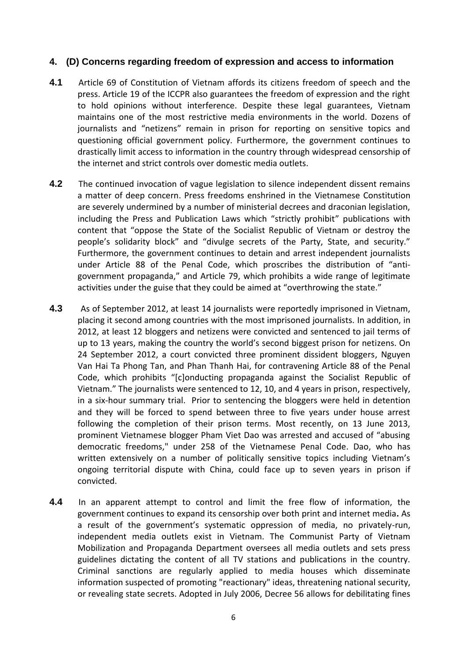# **4. (D) Concerns regarding freedom of expression and access to information**

- **4.1** Article 69 of Constitution of Vietnam affords its citizens freedom of speech and the press. Article 19 of the ICCPR also guarantees the freedom of expression and the right to hold opinions without interference. Despite these legal guarantees, Vietnam maintains one of the most restrictive media environments in the world. Dozens of journalists and "netizens" remain in prison for reporting on sensitive topics and questioning official government policy. Furthermore, the government continues to drastically limit access to information in the country through widespread censorship of the internet and strict controls over domestic media outlets.
- **4.2** The continued invocation of vague legislation to silence independent dissent remains a matter of deep concern. Press freedoms enshrined in the Vietnamese Constitution are severely undermined by a number of ministerial decrees and draconian legislation, including the Press and Publication Laws which "strictly prohibit" publications with content that "oppose the State of the Socialist Republic of Vietnam or destroy the people's solidarity block" and "divulge secrets of the Party, State, and security." Furthermore, the government continues to detain and arrest independent journalists under Article 88 of the Penal Code, which proscribes the distribution of "antigovernment propaganda," and Article 79, which prohibits a wide range of legitimate activities under the guise that they could be aimed at "overthrowing the state."
- **4.3** As of September 2012, at least 14 journalists were reportedly imprisoned in Vietnam, placing it second among countries with the most imprisoned journalists. In addition, in 2012, at least 12 bloggers and netizens were convicted and sentenced to jail terms of up to 13 years, making the country the world's second biggest prison for netizens. On 24 September 2012, a court convicted three prominent dissident bloggers, Nguyen Van Hai Ta Phong Tan, and Phan Thanh Hai, for contravening Article 88 of the Penal Code, which prohibits "[c]onducting propaganda against the Socialist Republic of Vietnam." The journalists were sentenced to 12, 10, and 4 years in prison, respectively, in a six-hour summary trial. Prior to sentencing the bloggers were held in detention and they will be forced to spend between three to five years under house arrest following the completion of their prison terms. Most recently, on 13 June 2013, prominent Vietnamese blogger Pham Viet Dao was arrested and accused of "abusing democratic freedoms," under 258 of the Vietnamese Penal Code. Dao, who has written extensively on a number of politically sensitive topics including Vietnam's ongoing territorial dispute with China, could face up to seven years in prison if convicted.
- **4.4** In an apparent attempt to control and limit the free flow of information, the government continues to expand its censorship over both print and internet media**.** As a result of the government's systematic oppression of media, no privately-run, independent media outlets exist in Vietnam. The Communist Party of Vietnam Mobilization and Propaganda Department oversees all media outlets and sets press guidelines dictating the content of all TV stations and publications in the country. Criminal sanctions are regularly applied to media houses which disseminate information suspected of promoting "reactionary" ideas, threatening national security, or revealing state secrets. Adopted in July 2006, Decree 56 allows for debilitating fines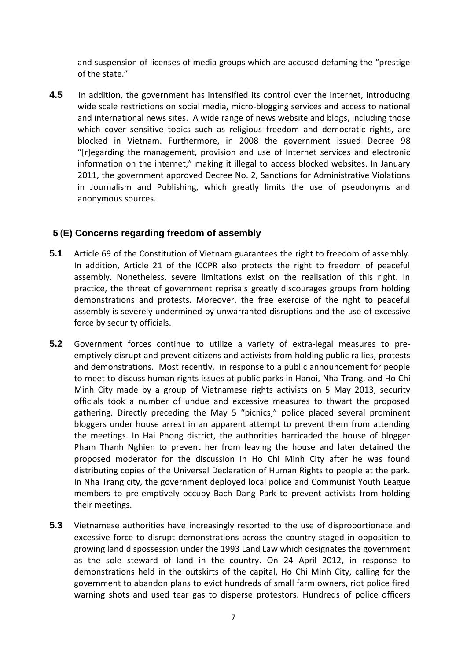and suspension of licenses of media groups which are accused defaming the "prestige of the state."

**4.5** In addition, the government has intensified its control over the internet, introducing wide scale restrictions on social media, micro-blogging services and access to national and international news sites. A wide range of news website and blogs, including those which cover sensitive topics such as religious freedom and democratic rights, are blocked in Vietnam. Furthermore, in 2008 the government issued Decree 98 "[r]egarding the management, provision and use of Internet services and electronic information on the internet," making it illegal to access blocked websites. In January 2011, the government approved Decree No. 2, Sanctions for Administrative Violations in Journalism and Publishing, which greatly limits the use of pseudonyms and anonymous sources.

# **5** (**E) Concerns regarding freedom of assembly**

- **5.1** Article 69 of the Constitution of Vietnam guarantees the right to freedom of assembly. In addition, Article 21 of the ICCPR also protects the right to freedom of peaceful assembly. Nonetheless, severe limitations exist on the realisation of this right. In practice, the threat of government reprisals greatly discourages groups from holding demonstrations and protests. Moreover, the free exercise of the right to peaceful assembly is severely undermined by unwarranted disruptions and the use of excessive force by security officials.
- **5.2** Government forces continue to utilize a variety of extra-legal measures to preemptively disrupt and prevent citizens and activists from holding public rallies, protests and demonstrations. Most recently, in response to a public announcement for people to meet to discuss human rights issues at public parks in Hanoi, Nha Trang, and Ho Chi Minh City made by a group of Vietnamese rights activists on 5 May 2013, security officials took a number of undue and excessive measures to thwart the proposed gathering. Directly preceding the May 5 "picnics," police placed several prominent bloggers under house arrest in an apparent attempt to prevent them from attending the meetings. In Hai Phong district, the authorities barricaded the house of blogger Pham Thanh Nghien to prevent her from leaving the house and later detained the proposed moderator for the discussion in Ho Chi Minh City after he was found distributing copies of the Universal Declaration of Human Rights to people at the park. In Nha Trang city, the government deployed local police and Communist Youth League members to pre-emptively occupy Bach Dang Park to prevent activists from holding their meetings.
- **5.3** Vietnamese authorities have increasingly resorted to the use of disproportionate and excessive force to disrupt demonstrations across the country staged in opposition to growing land dispossession under the 1993 Land Law which designates the government as the sole steward of land in the country. On 24 April 2012, in response to demonstrations held in the outskirts of the capital, Ho Chi Minh City, calling for the government to abandon plans to evict hundreds of small farm owners, riot police fired warning shots and used tear gas to disperse protestors. Hundreds of police officers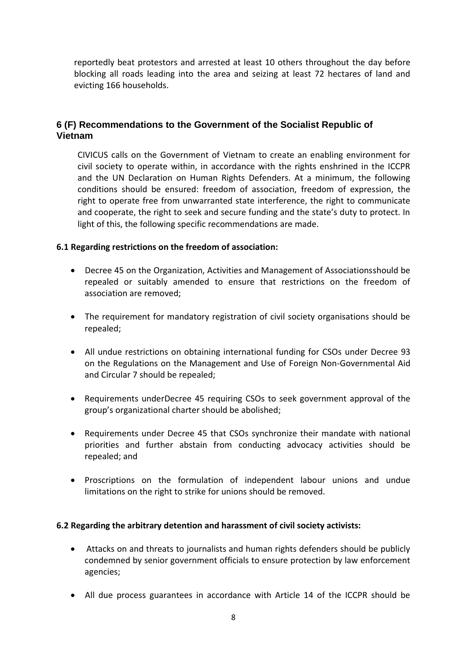reportedly beat protestors and arrested at least 10 others throughout the day before blocking all roads leading into the area and seizing at least 72 hectares of land and evicting 166 households.

# **6 (F) Recommendations to the Government of the Socialist Republic of Vietnam**

CIVICUS calls on the Government of Vietnam to create an enabling environment for civil society to operate within, in accordance with the rights enshrined in the ICCPR and the UN Declaration on Human Rights Defenders. At a minimum, the following conditions should be ensured: freedom of association, freedom of expression, the right to operate free from unwarranted state interference, the right to communicate and cooperate, the right to seek and secure funding and the state's duty to protect. In light of this, the following specific recommendations are made.

#### **6.1 Regarding restrictions on the freedom of association:**

- Decree 45 on the Organization, Activities and Management of Associationsshould be repealed or suitably amended to ensure that restrictions on the freedom of association are removed;
- The requirement for mandatory registration of civil society organisations should be repealed;
- All undue restrictions on obtaining international funding for CSOs under Decree 93 on the Regulations on the Management and Use of Foreign Non-Governmental Aid and Circular 7 should be repealed;
- Requirements underDecree 45 requiring CSOs to seek government approval of the group's organizational charter should be abolished;
- Requirements under Decree 45 that CSOs synchronize their mandate with national priorities and further abstain from conducting advocacy activities should be repealed; and
- Proscriptions on the formulation of independent labour unions and undue limitations on the right to strike for unions should be removed.

#### **6.2 Regarding the arbitrary detention and harassment of civil society activists:**

- Attacks on and threats to journalists and human rights defenders should be publicly condemned by senior government officials to ensure protection by law enforcement agencies;
- All due process guarantees in accordance with Article 14 of the ICCPR should be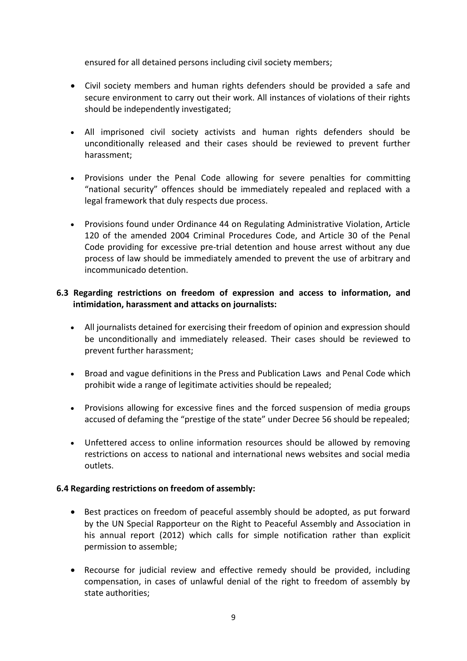ensured for all detained persons including civil society members;

- Civil society members and human rights defenders should be provided a safe and secure environment to carry out their work. All instances of violations of their rights should be independently investigated;
- All imprisoned civil society activists and human rights defenders should be unconditionally released and their cases should be reviewed to prevent further harassment;
- Provisions under the Penal Code allowing for severe penalties for committing "national security" offences should be immediately repealed and replaced with a legal framework that duly respects due process.
- Provisions found under Ordinance 44 on Regulating Administrative Violation, Article 120 of the amended 2004 Criminal Procedures Code, and Article 30 of the Penal Code providing for excessive pre-trial detention and house arrest without any due process of law should be immediately amended to prevent the use of arbitrary and incommunicado detention.

### **6.3 Regarding restrictions on freedom of expression and access to information, and intimidation, harassment and attacks on journalists:**

- All journalists detained for exercising their freedom of opinion and expression should be unconditionally and immediately released. Their cases should be reviewed to prevent further harassment;
- Broad and vague definitions in the Press and Publication Laws and Penal Code which prohibit wide a range of legitimate activities should be repealed;
- Provisions allowing for excessive fines and the forced suspension of media groups accused of defaming the "prestige of the state" under Decree 56 should be repealed;
- Unfettered access to online information resources should be allowed by removing restrictions on access to national and international news websites and social media outlets.

# **6.4 Regarding restrictions on freedom of assembly:**

- Best practices on freedom of peaceful assembly should be adopted, as put forward by the UN Special Rapporteur on the Right to Peaceful Assembly and Association in his annual report (2012) which calls for simple notification rather than explicit permission to assemble;
- Recourse for judicial review and effective remedy should be provided, including compensation, in cases of unlawful denial of the right to freedom of assembly by state authorities;